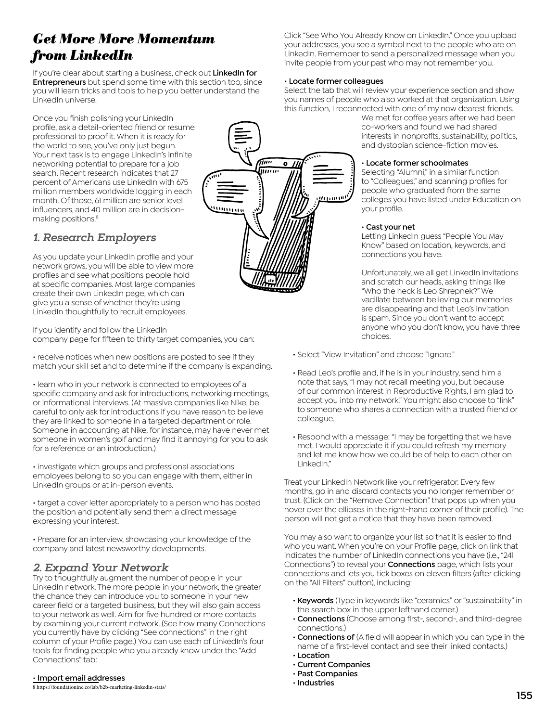# *Get More More Momentum from LinkedIn*

If you're clear about starting a business, check out **LinkedIn for Entrepreneurs** but spend some time with this section too, since you will learn tricks and tools to help you better understand the LinkedIn universe.

Once you finish polishing your LinkedIn profile, ask a detail-oriented friend or resume professional to proof it. When it is ready for the world to see, you've only just begun. Your next task is to engage LinkedIn's infinite networking potential to prepare for a job search. Recent research indicates that 27 percent of Americans use LinkedIn with 675 million members worldwide logging in each month. Of those, 61 million are senior level influencers, and 40 million are in decisionmaking positions.<sup>8</sup>

### **1. Research Employers**

As you update your LinkedIn profile and your network grows, you will be able to view more profiles and see what positions people hold at specific companies. Most large companies create their own LinkedIn page, which can give you a sense of whether they're using LinkedIn thoughtfully to recruit employees.

If you identify and follow the LinkedIn company page for fifteen to thirty target companies, you can:

• receive notices when new positions are posted to see if they match your skill set and to determine if the company is expanding.

• learn who in your network is connected to employees of a specific company and ask for introductions, networking meetings, or informational interviews. (At massive companies like Nike, be careful to only ask for introductions if you have reason to believe they are linked to someone in a targeted department or role. Someone in accounting at Nike, for instance, may have never met someone in women's golf and may find it annoying for you to ask for a reference or an introduction.)

• investigate which groups and professional associations employees belong to so you can engage with them, either in LinkedIn groups or at in-person events.

• target a cover letter appropriately to a person who has posted the position and potentially send them a direct message expressing your interest.

• Prepare for an interview, showcasing your knowledge of the company and latest newsworthy developments.

### **2. Expand Your Network**

Try to thoughtfully augment the number of people in your LinkedIn network. The more people in your network, the greater the chance they can introduce you to someone in your new career field or a targeted business, but they will also gain access to your network as well. Aim for five hundred or more contacts by examining your current network. (See how many Connections you currently have by clicking "See connections" in the right column of your Profile page.) You can use each of LinkedIn's four tools for finding people who you already know under the "Add Connections" tab:

#### • **Import email addresses**

8 https://foundationinc.co/lab/b2b-marketing-linkedin-stats/

Click "See Who You Already Know on LinkedIn." Once you upload your addresses, you see a symbol next to the people who are on LinkedIn. Remember to send a personalized message when you invite people from your past who may not remember you.

#### • **Locate former colleagues**

Select the tab that will review your experience section and show you names of people who also worked at that organization. Using this function, I reconnected with one of my now dearest friends.

We met for coffee years after we had been co-workers and found we had shared interests in nonprofits, sustainability, politics, and dystopian science-fiction movies.

#### • **Locate former schoolmates**

Selecting "Alumni," in a similar function to "Colleagues," and scanning profiles for people who graduated from the same colleges you have listed under Education on your profile.

#### • **Cast your net**

Letting LinkedIn guess "People You May Know" based on location, keywords, and connections you have.

Unfortunately, we all get LinkedIn invitations and scratch our heads, asking things like "Who the heck is Leo Shrepnek?" We vacillate between believing our memories are disappearing and that Leo's invitation is spam. Since you don't want to accept anyone who you don't know, you have three choices.

- Select "View Invitation" and choose "Ignore."
- Read Leo's profile and, if he is in your industry, send him a note that says, "I may not recall meeting you, but because of our common interest in Reproductive Rights, I am glad to accept you into my network." You might also choose to "link" to someone who shares a connection with a trusted friend or colleague.
- Respond with a message: "I may be forgetting that we have met. I would appreciate it if you could refresh my memory and let me know how we could be of help to each other on LinkedIn."

Treat your LinkedIn Network like your refrigerator. Every few months, go in and discard contacts you no longer remember or trust. (Click on the "Remove Connection" that pops up when you hover over the ellipses in the right-hand corner of their profile). The person will not get a notice that they have been removed.

You may also want to organize your list so that it is easier to find who you want. When you're on your Profile page, click on link that indicates the number of LinkedIn connections you have (i.e., "241 Connections") to reveal your **Connections** page, which lists your connections and lets you tick boxes on eleven filters (after clicking on the "All Filters" button), including:

- **Keywords** (Type in keywords like "ceramics" or "sustainability" in the search box in the upper lefthand corner.)
- **Connections** (Choose among first-, second-, and third-degree connections.)
- **Connections of** (A field will appear in which you can type in the name of a first-level contact and see their linked contacts.)
- **Location**
- **Current Companies**
- **Past Companies**
- **Industries**

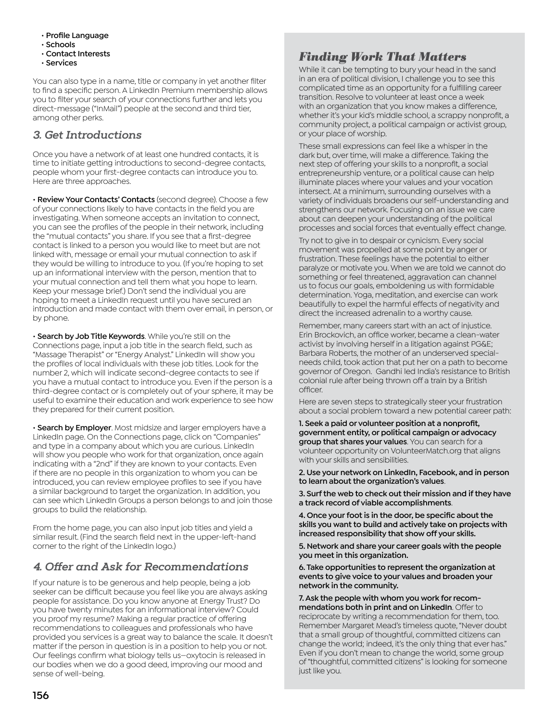- **Profile Language**
- **Schools**
- **Contact Interests**
- **Services**

You can also type in a name, title or company in yet another filter to find a specific person. A LinkedIn Premium membership allows you to filter your search of your connections further and lets you direct-message ("InMail") people at the second and third tier, among other perks.

## **3. Get Introductions**

Once you have a network of at least one hundred contacts, it is time to initiate getting introductions to second-degree contacts, people whom your first-degree contacts can introduce you to. Here are three approaches.

• **Review Your Contacts' Contacts** (second degree). Choose a few of your connections likely to have contacts in the field you are investigating. When someone accepts an invitation to connect, you can see the profiles of the people in their network, including the "mutual contacts" you share. If you see that a first-degree contact is linked to a person you would like to meet but are not linked with, message or email your mutual connection to ask if they would be willing to introduce to you. (If you're hoping to set up an informational interview with the person, mention that to your mutual connection and tell them what you hope to learn. Keep your message brief.) Don't send the individual you are hoping to meet a LinkedIn request until you have secured an introduction and made contact with them over email, in person, or by phone.

• **Search by Job Title Keywords**. While you're still on the Connections page, input a job title in the search field, such as "Massage Therapist" or "Energy Analyst." LinkedIn will show you the profiles of local individuals with these job titles. Look for the number 2, which will indicate second-degree contacts to see if you have a mutual contact to introduce you. Even if the person is a third-degree contact or is completely out of your sphere, it may be useful to examine their education and work experience to see how they prepared for their current position.

• **Search by Employer**. Most midsize and larger employers have a LinkedIn page. On the Connections page, click on "Companies" and type in a company about which you are curious. LinkedIn will show you people who work for that organization, once again indicating with a "2nd" if they are known to your contacts. Even if there are no people in this organization to whom you can be introduced, you can review employee profiles to see if you have a similar background to target the organization. In addition, you can see which LinkedIn Groups a person belongs to and join those groups to build the relationship.

From the home page, you can also input job titles and yield a similar result. (Find the search field next in the upper-left-hand corner to the right of the LinkedIn logo.)

# **4. Offer and Ask for Recommendations**

If your nature is to be generous and help people, being a job seeker can be difficult because you feel like you are always asking people for assistance. Do you know anyone at Energy Trust? Do you have twenty minutes for an informational interview? Could you proof my resume? Making a regular practice of offering recommendations to colleagues and professionals who have provided you services is a great way to balance the scale. It doesn't matter if the person in question is in a position to help you or not. Our feelings confirm what biology tells us—oxytocin is released in our bodies when we do a good deed, improving our mood and sense of well-being.

# *Finding Work That Matters*

While it can be tempting to bury your head in the sand in an era of political division, I challenge you to see this complicated time as an opportunity for a fulfilling career transition. Resolve to volunteer at least once a week with an organization that you know makes a difference, whether it's your kid's middle school, a scrappy nonprofit, a community project, a political campaign or activist group, or your place of worship.

These small expressions can feel like a whisper in the dark but, over time, will make a difference. Taking the next step of offering your skills to a nonprofit, a social entrepreneurship venture, or a political cause can help illuminate places where your values and your vocation intersect. At a minimum, surrounding ourselves with a variety of individuals broadens our self-understanding and strengthens our network. Focusing on an issue we care about can deepen your understanding of the political processes and social forces that eventually effect change.

Try not to give in to despair or cynicism. Every social movement was propelled at some point by anger or frustration. These feelings have the potential to either paralyze or motivate you. When we are told we cannot do something or feel threatened, aggravation can channel us to focus our goals, emboldening us with formidable determination. Yoga, meditation, and exercise can work beautifully to expel the harmful effects of negativity and direct the increased adrenalin to a worthy cause.

Remember, many careers start with an act of injustice. Erin Brockovich, an office worker, became a clean-water activist by involving herself in a litigation against PG&E; Barbara Roberts, the mother of an underserved specialneeds child, took action that put her on a path to become governor of Oregon. Gandhi led India's resistance to British colonial rule after being thrown off a train by a British officer.

Here are seven steps to strategically steer your frustration about a social problem toward a new potential career path:

**1. Seek a paid or volunteer position at a nonprofit, government entity, or political campaign or advocacy group that shares your values**. You can search for a volunteer opportunity on VolunteerMatch.org that aligns with your skills and sensibilities.

**2. Use your network on LinkedIn, Facebook, and in person to learn about the organization's values**.

**3. Surf the web to check out their mission and if they have a track record of viable accomplishments**.

**4. Once your foot is in the door, be specific about the skills you want to build and actively take on projects with increased responsibility that show off your skills.**

**5. Network and share your career goals with the people you meet in this organization.**

**6. Take opportunities to represent the organization at events to give voice to your values and broaden your network in the community.** 

**7. Ask the people with whom you work for recommendations both in print and on LinkedIn**. Offer to reciprocate by writing a recommendation for them, too. Remember Margaret Mead's timeless quote, "Never doubt that a small group of thoughtful, committed citizens can change the world; indeed, it's the only thing that ever has." Even if you don't mean to change the world, some group of "thoughtful, committed citizens" is looking for someone just like you.